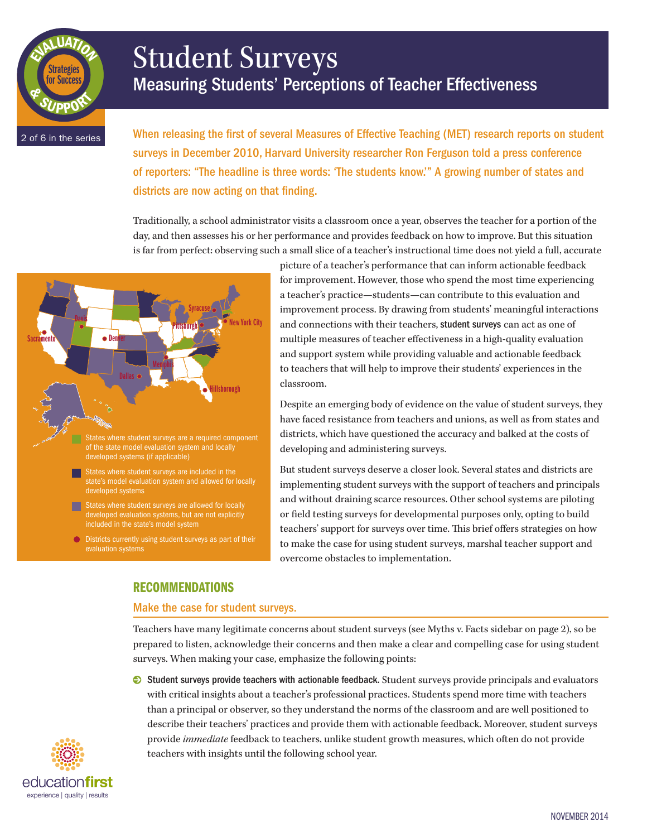# Student Surveys Measuring Students' Perceptions of Teacher Effectiveness

2 of 6 in the series

& <sup>S</sup>UPPOR<sup>T</sup>

EVALUATION

Strategies or Succes

> When releasing the first of several Measures of Effective Teaching (MET) research reports on student surveys in December 2010, Harvard University researcher Ron Ferguson told a press conference of reporters: "The headline is three words: 'The students know.'" A growing number of states and districts are now acting on that finding.

> Traditionally, a school administrator visits a classroom once a year, observes the teacher for a portion of the day, and then assesses his or her performance and provides feedback on how to improve. But this situation is far from perfect: observing such a small slice of a teacher's instructional time does not yield a full, accurate



picture of a teacher's performance that can inform actionable feedback for improvement. However, those who spend the most time experiencing a teacher's practice—students—can contribute to this evaluation and improvement process. By drawing from students' meaningful interactions and connections with their teachers, student surveys can act as one of multiple measures of teacher effectiveness in a high-quality evaluation and support system while providing valuable and actionable feedback to teachers that will help to improve their students' experiences in the classroom.

Despite an emerging body of evidence on the value of student surveys, they have faced resistance from teachers and unions, as well as from states and districts, which have questioned the accuracy and balked at the costs of developing and administering surveys.

But student surveys deserve a closer look. Several states and districts are implementing student surveys with the support of teachers and principals and without draining scarce resources. Other school systems are piloting or field testing surveys for developmental purposes only, opting to build teachers' support for surveys over time. This brief offers strategies on how to make the case for using student surveys, marshal teacher support and overcome obstacles to implementation.

# RECOMMENDATIONS

## Make the case for student surveys.

Teachers have many legitimate concerns about student surveys (see Myths v. Facts sidebar on page 2), so be prepared to listen, acknowledge their concerns and then make a clear and compelling case for using student surveys. When making your case, emphasize the following points:

0 Student surveys provide teachers with actionable feedback. Student surveys provide principals and evaluators with critical insights about a teacher's professional practices. Students spend more time with teachers than a principal or observer, so they understand the norms of the classroom and are well positioned to describe their teachers' practices and provide them with actionable feedback. Moreover, student surveys provide *immediate* feedback to teachers, unlike student growth measures, which often do not provide teachers with insights until the following school year.

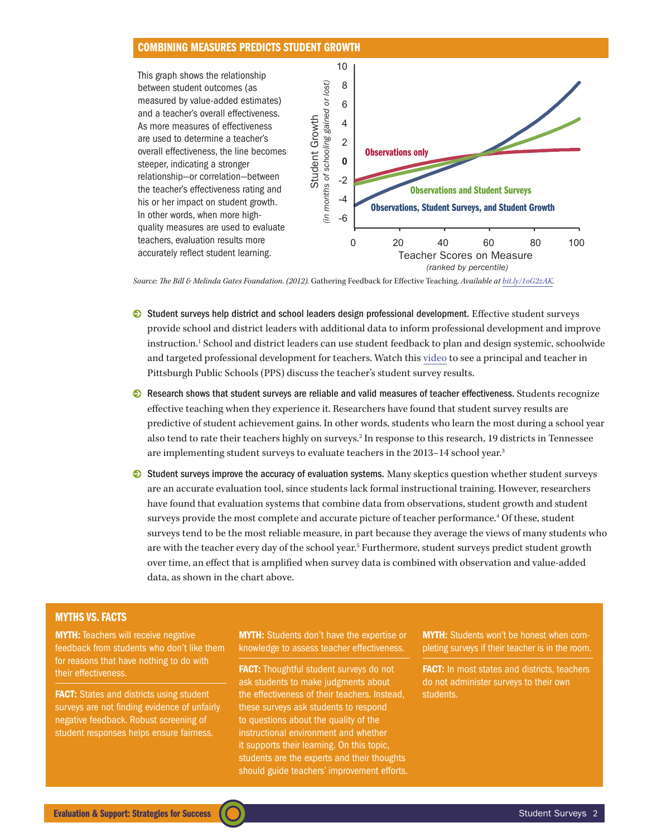## COMBINING MEASURES PREDICTS STUDENT GROWTH



*Source: The Bill & Melinda Gates Foundation. (2012).* Gathering Feedback for Effective Teaching. *Available at <bit.ly/1oG2zAK>.*

- 0 Student surveys help district and school leaders design professional development. Effective student surveys provide school and district leaders with additional data to inform professional development and improve instruction.1 School and district leaders can use student feedback to plan and design systemic, schoolwide and targeted professional development for teachers. Watch this [video](https://www.teachingchannel.org/videos/improve-teaching-with-student-feedback) to see a principal and teacher in Pittsburgh Public Schools (PPS) discuss the teacher's student survey results.
- 0 Research shows that student surveys are reliable and valid measures of teacher effectiveness. Students recognize effective teaching when they experience it. Researchers have found that student survey results are predictive of student achievement gains. In other words, students who learn the most during a school year also tend to rate their teachers highly on surveys.2 In response to this research, 19 districts in Tennessee are implementing student surveys to evaluate teachers in the 2013–14 school year.3
- 0 Student surveys improve the accuracy of evaluation systems. Many skeptics question whether student surveys are an accurate evaluation tool, since students lack formal instructional training. However, researchers have found that evaluation systems that combine data from observations, student growth and student surveys provide the most complete and accurate picture of teacher performance.4 Of these, student surveys tend to be the most reliable measure, in part because they average the views of many students who are with the teacher every day of the school year.<sup>5</sup> Furthermore, student surveys predict student growth over time, an effect that is amplified when survey data is combined with observation and value-added data, as shown in the chart above.

## MYTHS VS. FACTS

**MYTH:** Teachers will receive negative feedback from students who don't like them for reasons that have nothing to do with their effectiveness.

**FACT:** States and districts using student surveys are not finding evidence of unfairly negative feedback. Robust screening of student responses helps ensure fairness.

**MYTH:** Students don't have the expertise or knowledge to assess teacher effectiveness.

FACT: Thoughtful student surveys do not ask students to make judgments about the effectiveness of their teachers. Instead, these surveys ask students to respond to questions about the quality of the instructional environment and whether it supports their learning. On this topic, students are the experts and their thoughts should guide teachers' improvement efforts. MYTH: Students won't be honest when completing surveys if their teacher is in the room.

FACT: In most states and districts, teachers do not administer surveys to their own students.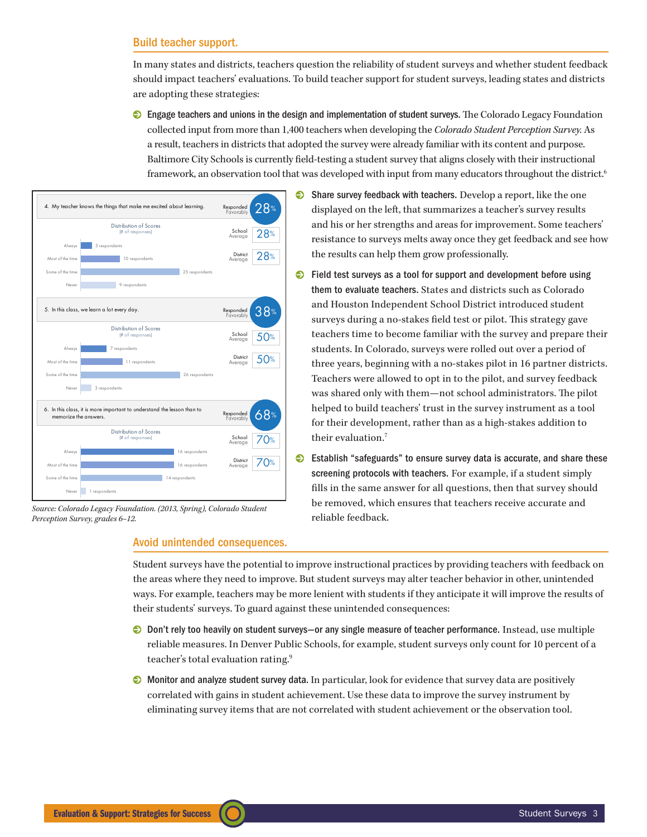## Build teacher support.

In many states and districts, teachers question the reliability of student surveys and whether student feedback should impact teachers' evaluations. To build teacher support for student surveys, leading states and districts are adopting these strategies:

 $\odot$  Engage teachers and unions in the design and implementation of student surveys. The Colorado Legacy Foundation collected input from more than 1,400 teachers when developing the *Colorado Student Perception Survey.* As a result, teachers in districts that adopted the survey were already familiar with its content and purpose. Baltimore City Schools is currently field-testing a student survey that aligns closely with their instructional framework, an observation tool that was developed with input from many educators throughout the district.<sup>6</sup>



*Source: Colorado Legacy Foundation. (2013, Spring), Colorado Student Perception Survey, grades 6–12.*

## Avoid unintended consequences.

- $\bullet$  Share survey feedback with teachers. Develop a report, like the one displayed on the left, that summarizes a teacher's survey results and his or her strengths and areas for improvement. Some teachers' resistance to surveys melts away once they get feedback and see how the results can help them grow professionally.
- $\bullet$  Field test surveys as a tool for support and development before using them to evaluate teachers. States and districts such as Colorado and Houston Independent School District introduced student surveys during a no-stakes field test or pilot. This strategy gave teachers time to become familiar with the survey and prepare their students. In Colorado, surveys were rolled out over a period of three years, beginning with a no-stakes pilot in 16 partner districts. Teachers were allowed to opt in to the pilot, and survey feedback was shared only with them—not school administrators. The pilot helped to build teachers' trust in the survey instrument as a tool for their development, rather than as a high-stakes addition to their evaluation.<sup>7</sup>
- 0 Establish "safeguards" to ensure survey data is accurate, and share these screening protocols with teachers. For example, if a student simply fills in the same answer for all questions, then that survey should be removed, which ensures that teachers receive accurate and reliable feedback.

Student surveys have the potential to improve instructional practices by providing teachers with feedback on the areas where they need to improve. But student surveys may alter teacher behavior in other, unintended ways. For example, teachers may be more lenient with students if they anticipate it will improve the results of their students' surveys. To guard against these unintended consequences:

- $\odot$  Don't rely too heavily on student surveys—or any single measure of teacher performance. Instead, use multiple reliable measures. In Denver Public Schools, for example, student surveys only count for 10 percent of a teacher's total evaluation rating.9
- 0 Monitor and analyze student survey data. In particular, look for evidence that survey data are positively correlated with gains in student achievement. Use these data to improve the survey instrument by eliminating survey items that are not correlated with student achievement or the observation tool.